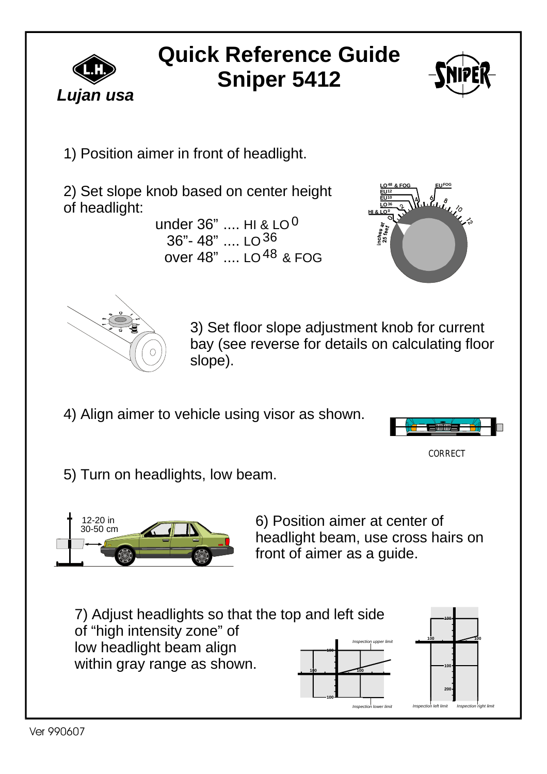